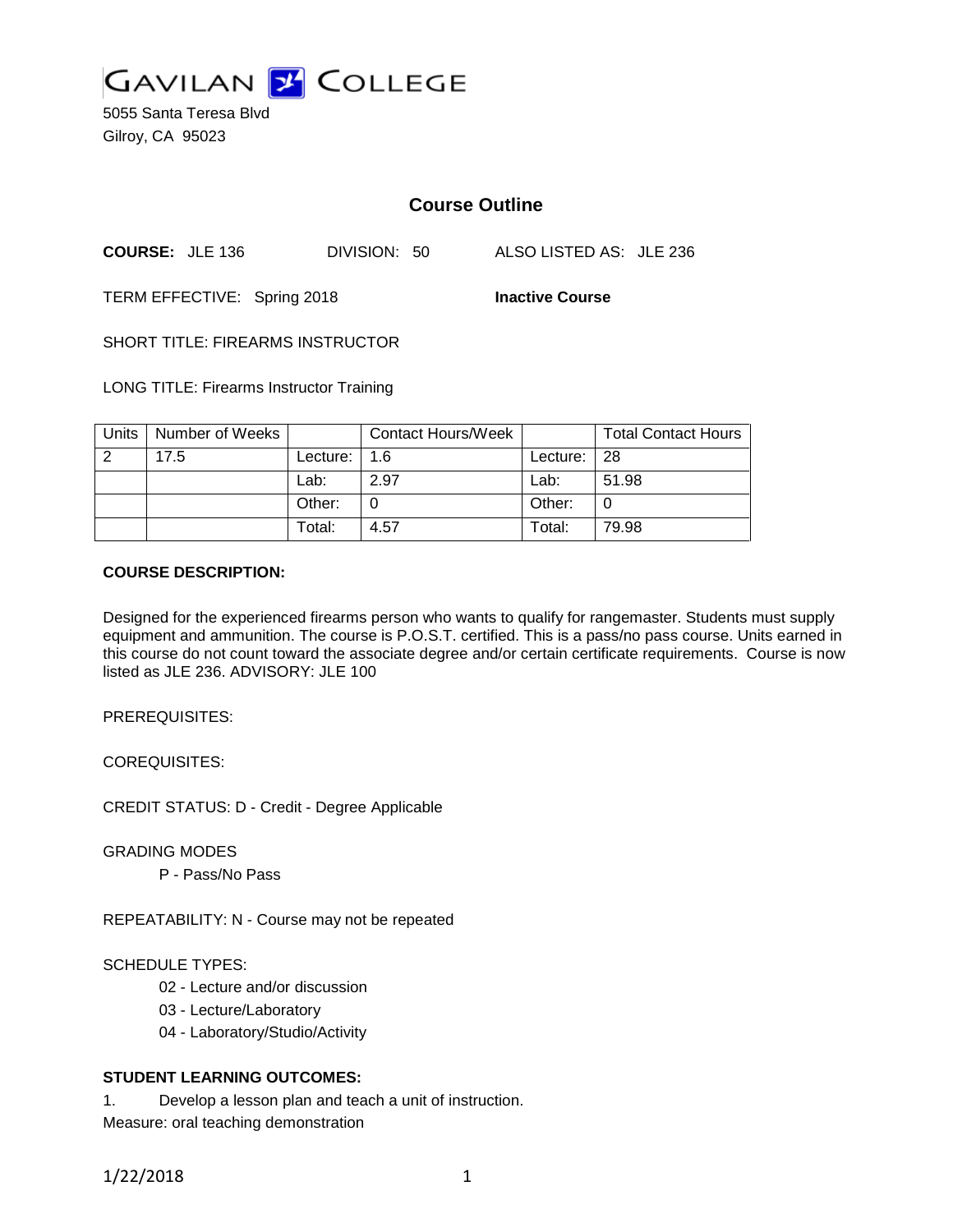

5055 Santa Teresa Blvd Gilroy, CA 95023

## **Course Outline**

**COURSE:** JLE 136 DIVISION: 50 ALSO LISTED AS: JLE 236

TERM EFFECTIVE: Spring 2018 **Inactive Course**

SHORT TITLE: FIREARMS INSTRUCTOR

LONG TITLE: Firearms Instructor Training

| Units | Number of Weeks |          | <b>Contact Hours/Week</b> |            | <b>Total Contact Hours</b> |
|-------|-----------------|----------|---------------------------|------------|----------------------------|
| 2     | 17.5            | Lecture: | 1.6                       | Lecture: I | -28                        |
|       |                 | Lab:     | 2.97                      | Lab:       | 51.98                      |
|       |                 | Other:   |                           | Other:     | 0                          |
|       |                 | Total:   | 4.57                      | Total:     | 79.98                      |

#### **COURSE DESCRIPTION:**

Designed for the experienced firearms person who wants to qualify for rangemaster. Students must supply equipment and ammunition. The course is P.O.S.T. certified. This is a pass/no pass course. Units earned in this course do not count toward the associate degree and/or certain certificate requirements. Course is now listed as JLE 236. ADVISORY: JLE 100

PREREQUISITES:

COREQUISITES:

CREDIT STATUS: D - Credit - Degree Applicable

GRADING MODES

P - Pass/No Pass

REPEATABILITY: N - Course may not be repeated

### SCHEDULE TYPES:

- 02 Lecture and/or discussion
- 03 Lecture/Laboratory
- 04 Laboratory/Studio/Activity

## **STUDENT LEARNING OUTCOMES:**

1. Develop a lesson plan and teach a unit of instruction. Measure: oral teaching demonstration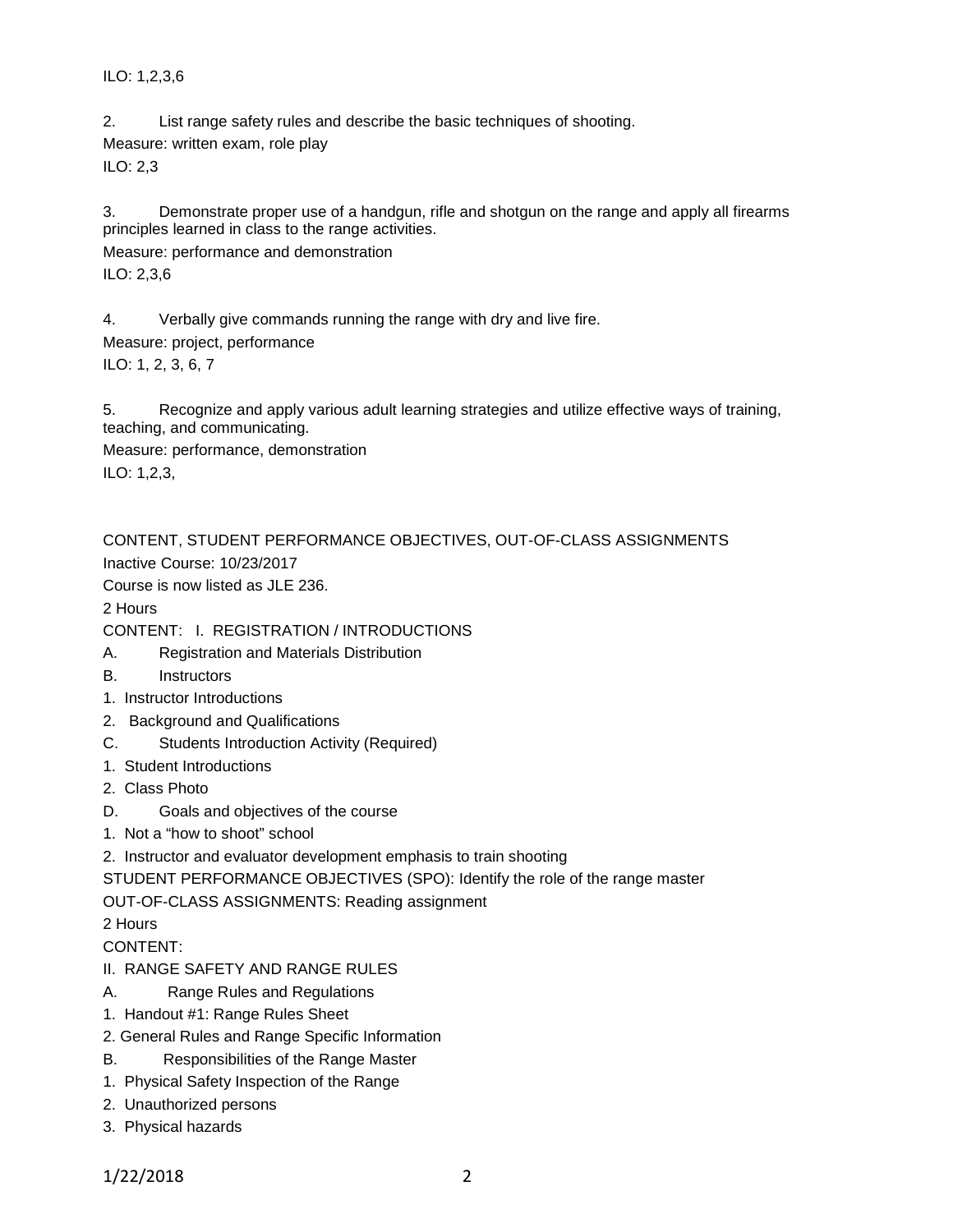ILO: 1,2,3,6

2. List range safety rules and describe the basic techniques of shooting. Measure: written exam, role play ILO: 2,3

3. Demonstrate proper use of a handgun, rifle and shotgun on the range and apply all firearms principles learned in class to the range activities.

Measure: performance and demonstration ILO: 2,3,6

4. Verbally give commands running the range with dry and live fire. Measure: project, performance ILO: 1, 2, 3, 6, 7

5. Recognize and apply various adult learning strategies and utilize effective ways of training, teaching, and communicating.

Measure: performance, demonstration ILO: 1,2,3,

CONTENT, STUDENT PERFORMANCE OBJECTIVES, OUT-OF-CLASS ASSIGNMENTS

Inactive Course: 10/23/2017

Course is now listed as JLE 236.

2 Hours

CONTENT: I. REGISTRATION / INTRODUCTIONS

- A. Registration and Materials Distribution
- B. Instructors
- 1. Instructor Introductions
- 2. Background and Qualifications
- C. Students Introduction Activity (Required)
- 1. Student Introductions
- 2. Class Photo
- D. Goals and objectives of the course
- 1. Not a "how to shoot" school
- 2. Instructor and evaluator development emphasis to train shooting

STUDENT PERFORMANCE OBJECTIVES (SPO): Identify the role of the range master

OUT-OF-CLASS ASSIGNMENTS: Reading assignment

2 Hours

CONTENT:

- II. RANGE SAFETY AND RANGE RULES
- A. Range Rules and Regulations
- 1. Handout #1: Range Rules Sheet
- 2. General Rules and Range Specific Information
- B. Responsibilities of the Range Master
- 1. Physical Safety Inspection of the Range
- 2. Unauthorized persons
- 3. Physical hazards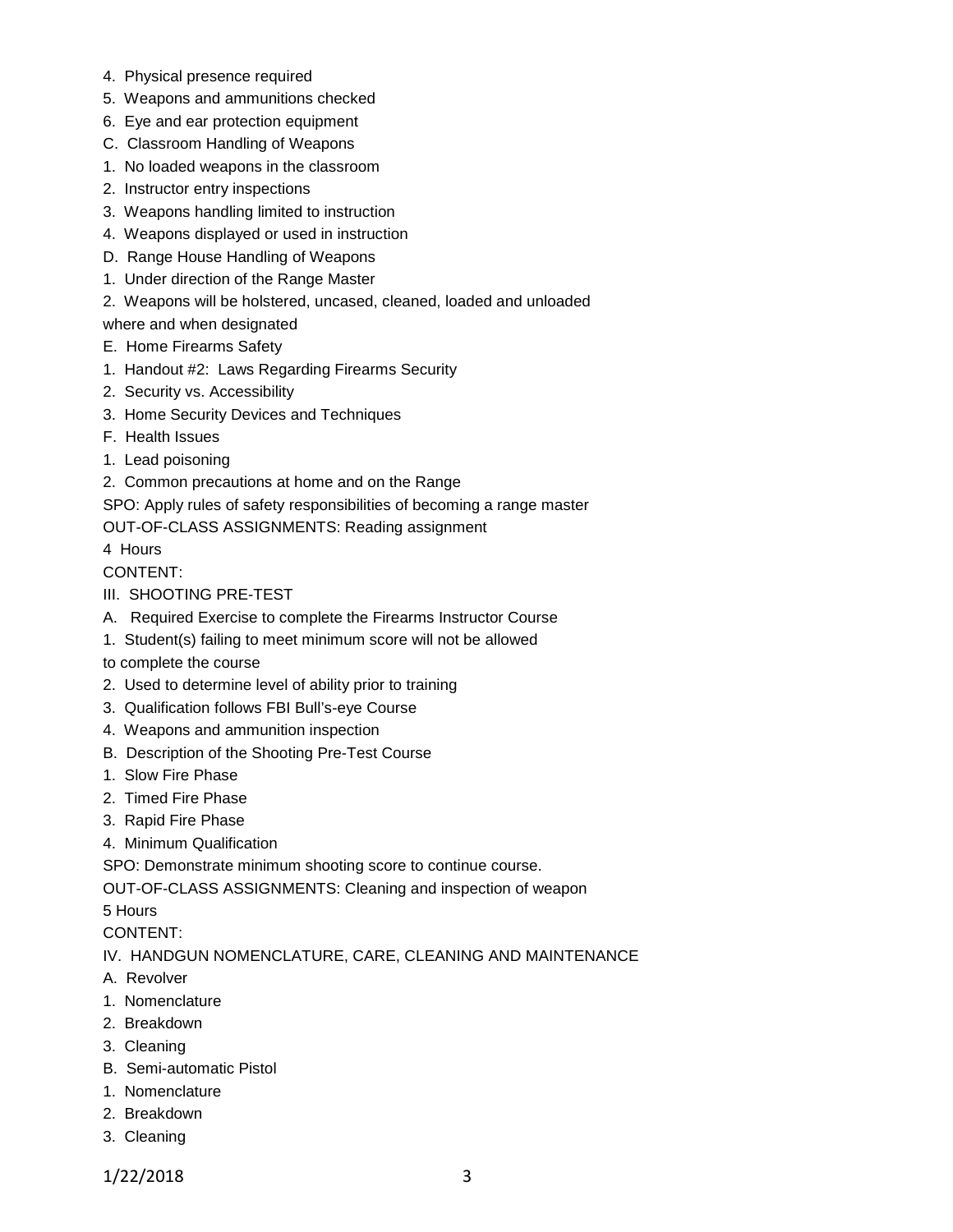- 4. Physical presence required
- 5. Weapons and ammunitions checked
- 6. Eye and ear protection equipment
- C. Classroom Handling of Weapons
- 1. No loaded weapons in the classroom
- 2. Instructor entry inspections
- 3. Weapons handling limited to instruction
- 4. Weapons displayed or used in instruction
- D. Range House Handling of Weapons
- 1. Under direction of the Range Master
- 2. Weapons will be holstered, uncased, cleaned, loaded and unloaded

where and when designated

- E. Home Firearms Safety
- 1. Handout #2: Laws Regarding Firearms Security
- 2. Security vs. Accessibility
- 3. Home Security Devices and Techniques
- F. Health Issues
- 1. Lead poisoning
- 2. Common precautions at home and on the Range

SPO: Apply rules of safety responsibilities of becoming a range master

OUT-OF-CLASS ASSIGNMENTS: Reading assignment

4 Hours

CONTENT:

- III. SHOOTING PRE-TEST
- A. Required Exercise to complete the Firearms Instructor Course
- 1. Student(s) failing to meet minimum score will not be allowed
- to complete the course
- 2. Used to determine level of ability prior to training
- 3. Qualification follows FBI Bull's-eye Course
- 4. Weapons and ammunition inspection
- B. Description of the Shooting Pre-Test Course
- 1. Slow Fire Phase
- 2. Timed Fire Phase
- 3. Rapid Fire Phase
- 4. Minimum Qualification

SPO: Demonstrate minimum shooting score to continue course.

OUT-OF-CLASS ASSIGNMENTS: Cleaning and inspection of weapon

5 Hours

CONTENT:

IV. HANDGUN NOMENCLATURE, CARE, CLEANING AND MAINTENANCE

- A. Revolver
- 1. Nomenclature
- 2. Breakdown
- 3. Cleaning
- B. Semi-automatic Pistol
- 1. Nomenclature
- 2. Breakdown
- 3. Cleaning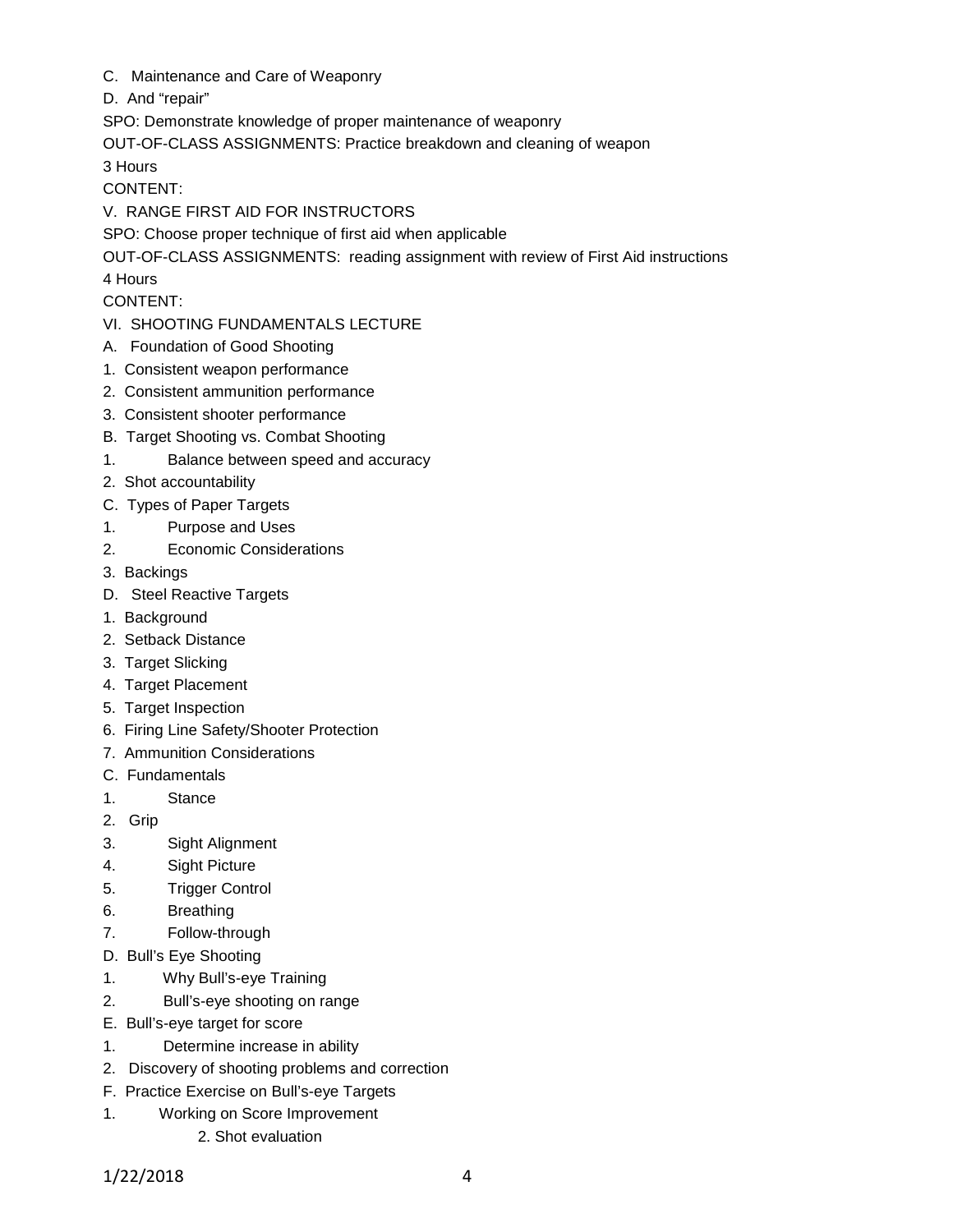- C. Maintenance and Care of Weaponry
- D. And "repair"

SPO: Demonstrate knowledge of proper maintenance of weaponry

OUT-OF-CLASS ASSIGNMENTS: Practice breakdown and cleaning of weapon

3 Hours

CONTENT:

V. RANGE FIRST AID FOR INSTRUCTORS

SPO: Choose proper technique of first aid when applicable

OUT-OF-CLASS ASSIGNMENTS: reading assignment with review of First Aid instructions

4 Hours

CONTENT:

- VI. SHOOTING FUNDAMENTALS LECTURE
- A. Foundation of Good Shooting
- 1. Consistent weapon performance
- 2. Consistent ammunition performance
- 3. Consistent shooter performance
- B. Target Shooting vs. Combat Shooting
- 1. Balance between speed and accuracy
- 2. Shot accountability
- C. Types of Paper Targets
- 1. Purpose and Uses
- 2. Economic Considerations
- 3. Backings
- D. Steel Reactive Targets
- 1. Background
- 2. Setback Distance
- 3. Target Slicking
- 4. Target Placement
- 5. Target Inspection
- 6. Firing Line Safety/Shooter Protection
- 7. Ammunition Considerations
- C. Fundamentals
- 1. Stance
- 2. Grip
- 3. Sight Alignment
- 4. Sight Picture
- 5. Trigger Control
- 6. Breathing
- 7. Follow-through
- D. Bull's Eye Shooting
- 1. Why Bull's-eye Training
- 2. Bull's-eye shooting on range
- E. Bull's-eye target for score
- 1. Determine increase in ability
- 2. Discovery of shooting problems and correction
- F. Practice Exercise on Bull's-eye Targets
- 1. Working on Score Improvement
	- 2. Shot evaluation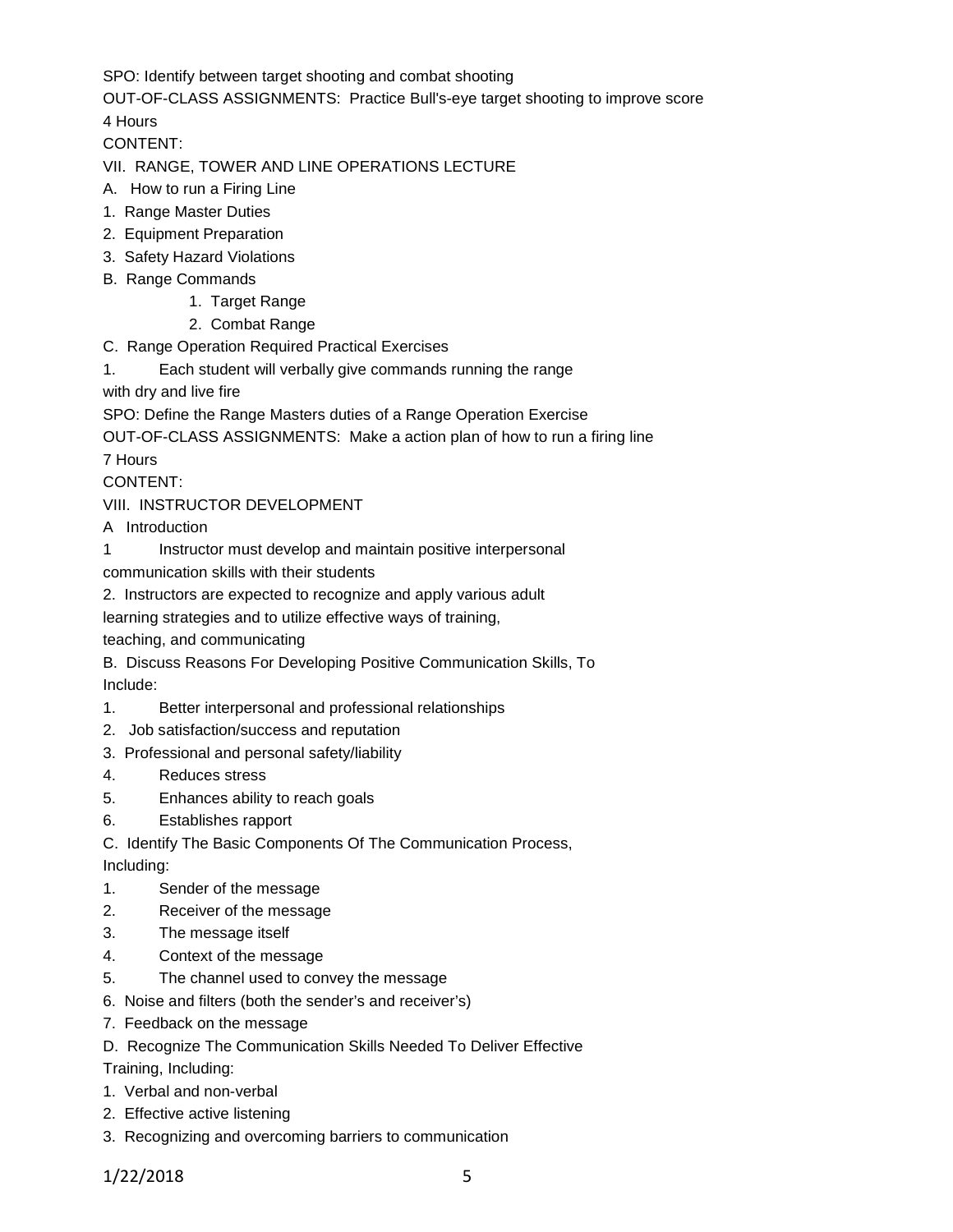SPO: Identify between target shooting and combat shooting

OUT-OF-CLASS ASSIGNMENTS: Practice Bull's-eye target shooting to improve score 4 Hours

CONTENT:

VII. RANGE, TOWER AND LINE OPERATIONS LECTURE

- A. How to run a Firing Line
- 1. Range Master Duties
- 2. Equipment Preparation
- 3. Safety Hazard Violations
- B. Range Commands
	- 1. Target Range
		- 2. Combat Range
- C. Range Operation Required Practical Exercises
- 1. Each student will verbally give commands running the range

with dry and live fire

SPO: Define the Range Masters duties of a Range Operation Exercise

OUT-OF-CLASS ASSIGNMENTS: Make a action plan of how to run a firing line 7 Hours

CONTENT:

VIII. INSTRUCTOR DEVELOPMENT

A Introduction

1 Instructor must develop and maintain positive interpersonal

communication skills with their students

2. Instructors are expected to recognize and apply various adult

learning strategies and to utilize effective ways of training,

teaching, and communicating

B. Discuss Reasons For Developing Positive Communication Skills, To Include:

- 1. Better interpersonal and professional relationships
- 2. Job satisfaction/success and reputation
- 3. Professional and personal safety/liability
- 4. Reduces stress
- 5. Enhances ability to reach goals
- 6. Establishes rapport

C. Identify The Basic Components Of The Communication Process,

Including:

- 1. Sender of the message
- 2. Receiver of the message
- 3. The message itself
- 4. Context of the message
- 5. The channel used to convey the message
- 6. Noise and filters (both the sender's and receiver's)
- 7. Feedback on the message
- D. Recognize The Communication Skills Needed To Deliver Effective

Training, Including:

- 1. Verbal and non-verbal
- 2. Effective active listening
- 3. Recognizing and overcoming barriers to communication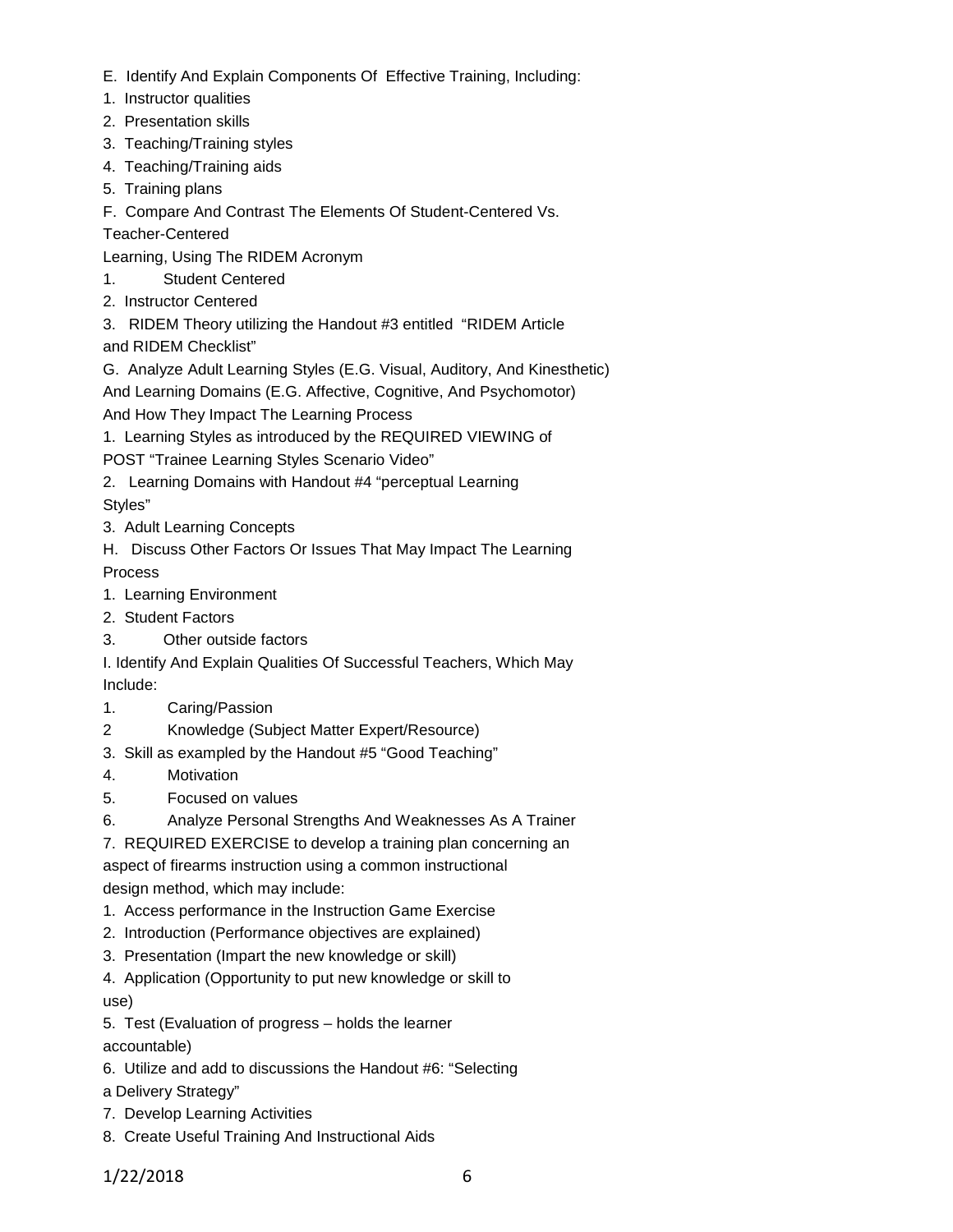- E. Identify And Explain Components Of Effective Training, Including:
- 1. Instructor qualities
- 2. Presentation skills
- 3. Teaching/Training styles
- 4. Teaching/Training aids
- 5. Training plans
- F. Compare And Contrast The Elements Of Student-Centered Vs.

Teacher-Centered

Learning, Using The RIDEM Acronym

- 1. Student Centered
- 2. Instructor Centered

3. RIDEM Theory utilizing the Handout #3 entitled "RIDEM Article and RIDEM Checklist"

G. Analyze Adult Learning Styles (E.G. Visual, Auditory, And Kinesthetic)

And Learning Domains (E.G. Affective, Cognitive, And Psychomotor) And How They Impact The Learning Process

1. Learning Styles as introduced by the REQUIRED VIEWING of

POST "Trainee Learning Styles Scenario Video"

2. Learning Domains with Handout #4 "perceptual Learning Styles"

- 3. Adult Learning Concepts
- H. Discuss Other Factors Or Issues That May Impact The Learning Process
- 1. Learning Environment
- 2. Student Factors
- 3. Other outside factors

I. Identify And Explain Qualities Of Successful Teachers, Which May Include:

- 1. Caring/Passion
- 2 Knowledge (Subject Matter Expert/Resource)
- 3. Skill as exampled by the Handout #5 "Good Teaching"
- 4. Motivation
- 5. Focused on values
- 6. Analyze Personal Strengths And Weaknesses As A Trainer

7. REQUIRED EXERCISE to develop a training plan concerning an

aspect of firearms instruction using a common instructional design method, which may include:

- 1. Access performance in the Instruction Game Exercise
- 2. Introduction (Performance objectives are explained)
- 3. Presentation (Impart the new knowledge or skill)
- 4. Application (Opportunity to put new knowledge or skill to use)

5. Test (Evaluation of progress – holds the learner

accountable)

6. Utilize and add to discussions the Handout #6: "Selecting

a Delivery Strategy"

- 7. Develop Learning Activities
- 8. Create Useful Training And Instructional Aids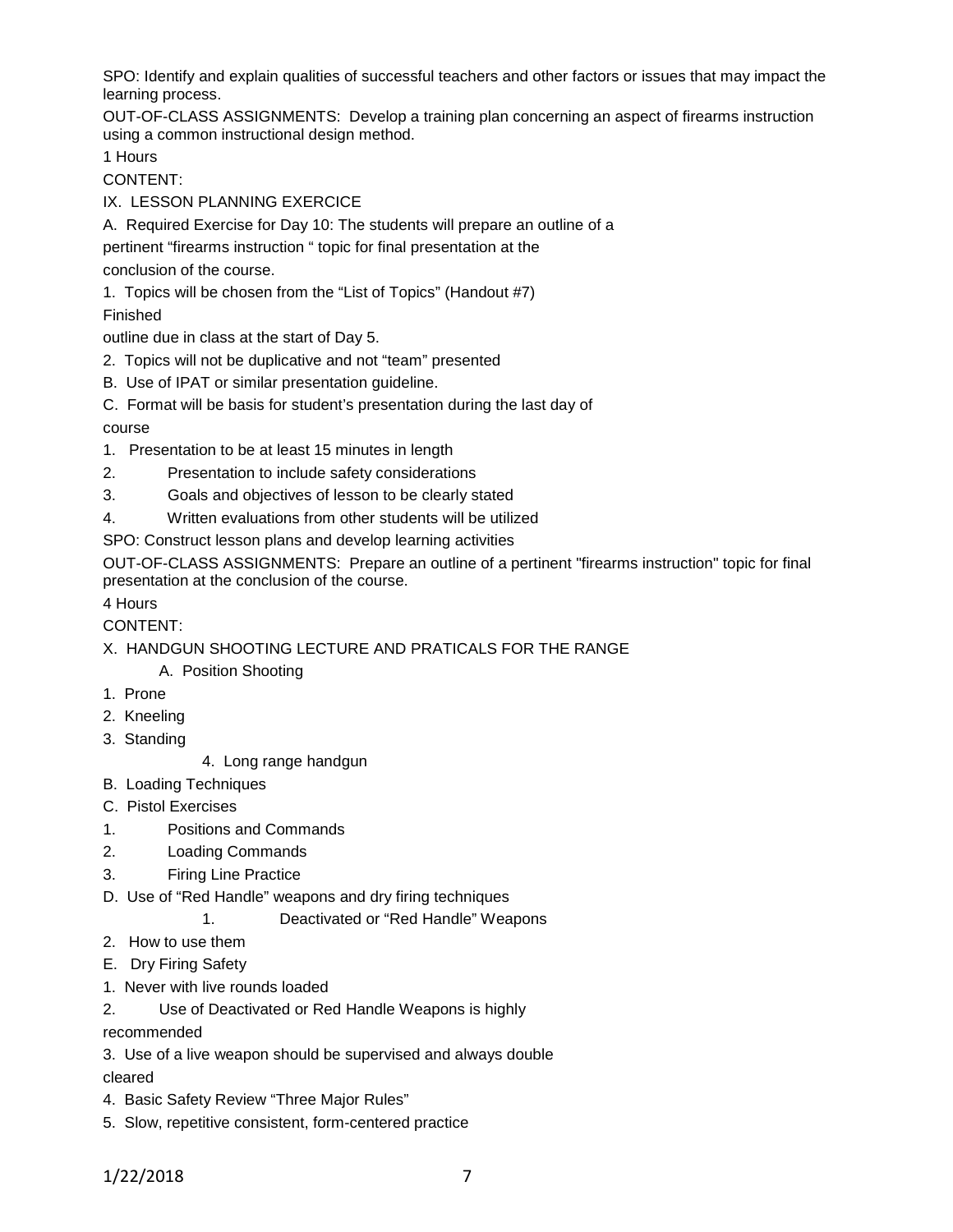SPO: Identify and explain qualities of successful teachers and other factors or issues that may impact the learning process.

OUT-OF-CLASS ASSIGNMENTS: Develop a training plan concerning an aspect of firearms instruction using a common instructional design method.

1 Hours

CONTENT:

- IX. LESSON PLANNING EXERCICE
- A. Required Exercise for Day 10: The students will prepare an outline of a
- pertinent "firearms instruction " topic for final presentation at the

conclusion of the course.

1. Topics will be chosen from the "List of Topics" (Handout #7)

## Finished

outline due in class at the start of Day 5.

- 2. Topics will not be duplicative and not "team" presented
- B. Use of IPAT or similar presentation guideline.
- C. Format will be basis for student's presentation during the last day of

## course

- 1. Presentation to be at least 15 minutes in length
- 2. Presentation to include safety considerations
- 3. Goals and objectives of lesson to be clearly stated
- 4. Written evaluations from other students will be utilized

SPO: Construct lesson plans and develop learning activities

OUT-OF-CLASS ASSIGNMENTS: Prepare an outline of a pertinent "firearms instruction" topic for final presentation at the conclusion of the course.

4 Hours

CONTENT:

X. HANDGUN SHOOTING LECTURE AND PRATICALS FOR THE RANGE

A. Position Shooting

- 1. Prone
- 2. Kneeling
- 3. Standing
- 4. Long range handgun
- B. Loading Techniques
- C. Pistol Exercises
- 1. Positions and Commands
- 2. Loading Commands
- 3. Firing Line Practice
- D. Use of "Red Handle" weapons and dry firing techniques

1. Deactivated or "Red Handle" Weapons

- 2. How to use them
- E. Dry Firing Safety
- 1. Never with live rounds loaded

2. Use of Deactivated or Red Handle Weapons is highly

recommended

3. Use of a live weapon should be supervised and always double cleared

- 4. Basic Safety Review "Three Major Rules"
- 5. Slow, repetitive consistent, form-centered practice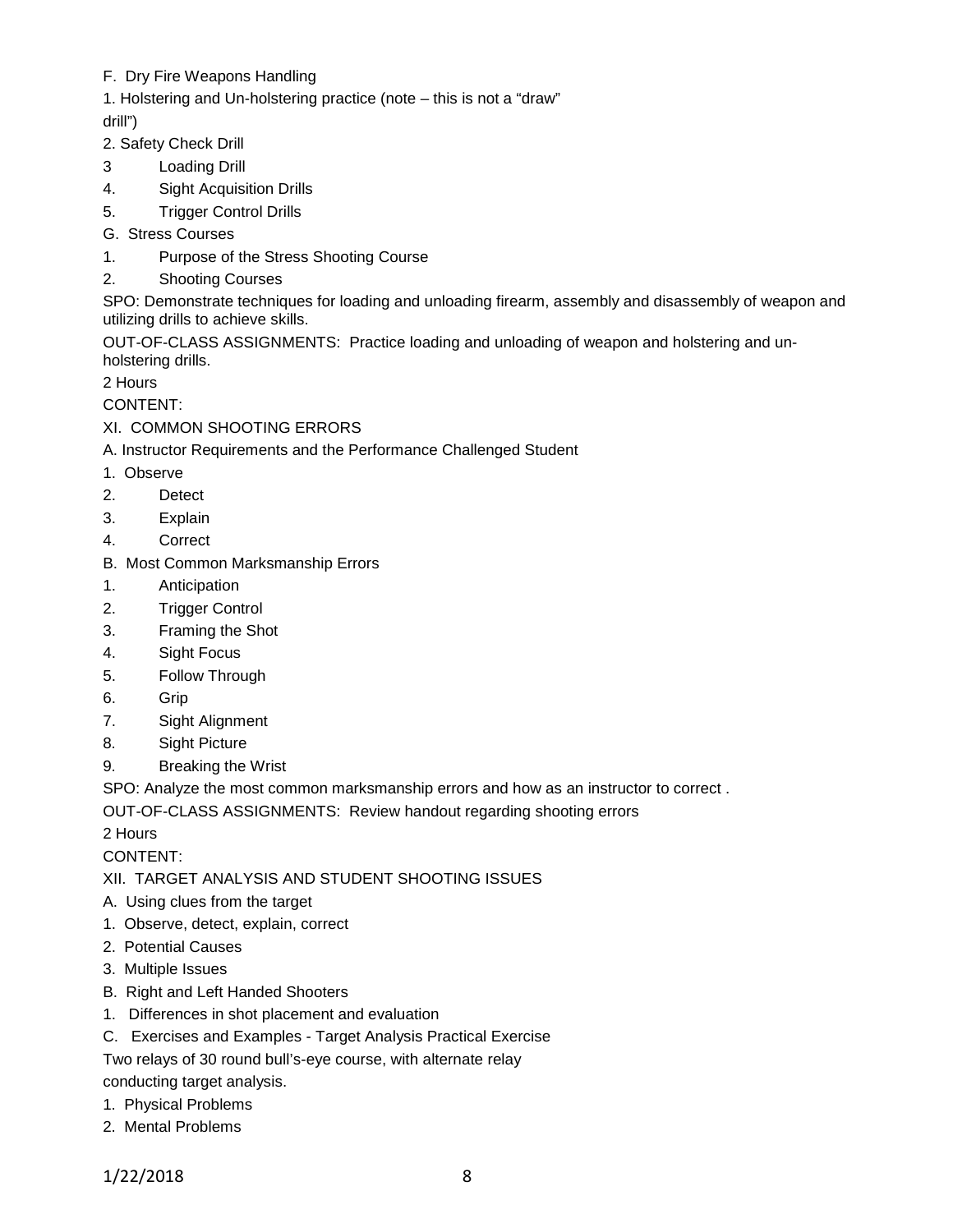## F. Dry Fire Weapons Handling

1. Holstering and Un-holstering practice (note – this is not a "draw"

drill")

- 2. Safety Check Drill
- 3 Loading Drill
- 4. Sight Acquisition Drills
- 5. Trigger Control Drills
- G. Stress Courses
- 1. Purpose of the Stress Shooting Course
- 2. Shooting Courses

SPO: Demonstrate techniques for loading and unloading firearm, assembly and disassembly of weapon and utilizing drills to achieve skills.

OUT-OF-CLASS ASSIGNMENTS: Practice loading and unloading of weapon and holstering and unholstering drills.

2 Hours

CONTENT:

## XI. COMMON SHOOTING ERRORS

A. Instructor Requirements and the Performance Challenged Student

- 1. Observe
- 2. Detect
- 3. Explain
- 4. Correct
- B. Most Common Marksmanship Errors
- 1. Anticipation
- 2. Trigger Control
- 3. Framing the Shot
- 4. Sight Focus
- 5. Follow Through
- 6. Grip
- 7. Sight Alignment
- 8. Sight Picture
- 9. Breaking the Wrist

SPO: Analyze the most common marksmanship errors and how as an instructor to correct .

OUT-OF-CLASS ASSIGNMENTS: Review handout regarding shooting errors

2 Hours

CONTENT:

## XII. TARGET ANALYSIS AND STUDENT SHOOTING ISSUES

- A. Using clues from the target
- 1. Observe, detect, explain, correct
- 2. Potential Causes
- 3. Multiple Issues
- B. Right and Left Handed Shooters
- 1. Differences in shot placement and evaluation
- C. Exercises and Examples Target Analysis Practical Exercise

Two relays of 30 round bull's-eye course, with alternate relay

conducting target analysis.

- 1. Physical Problems
- 2. Mental Problems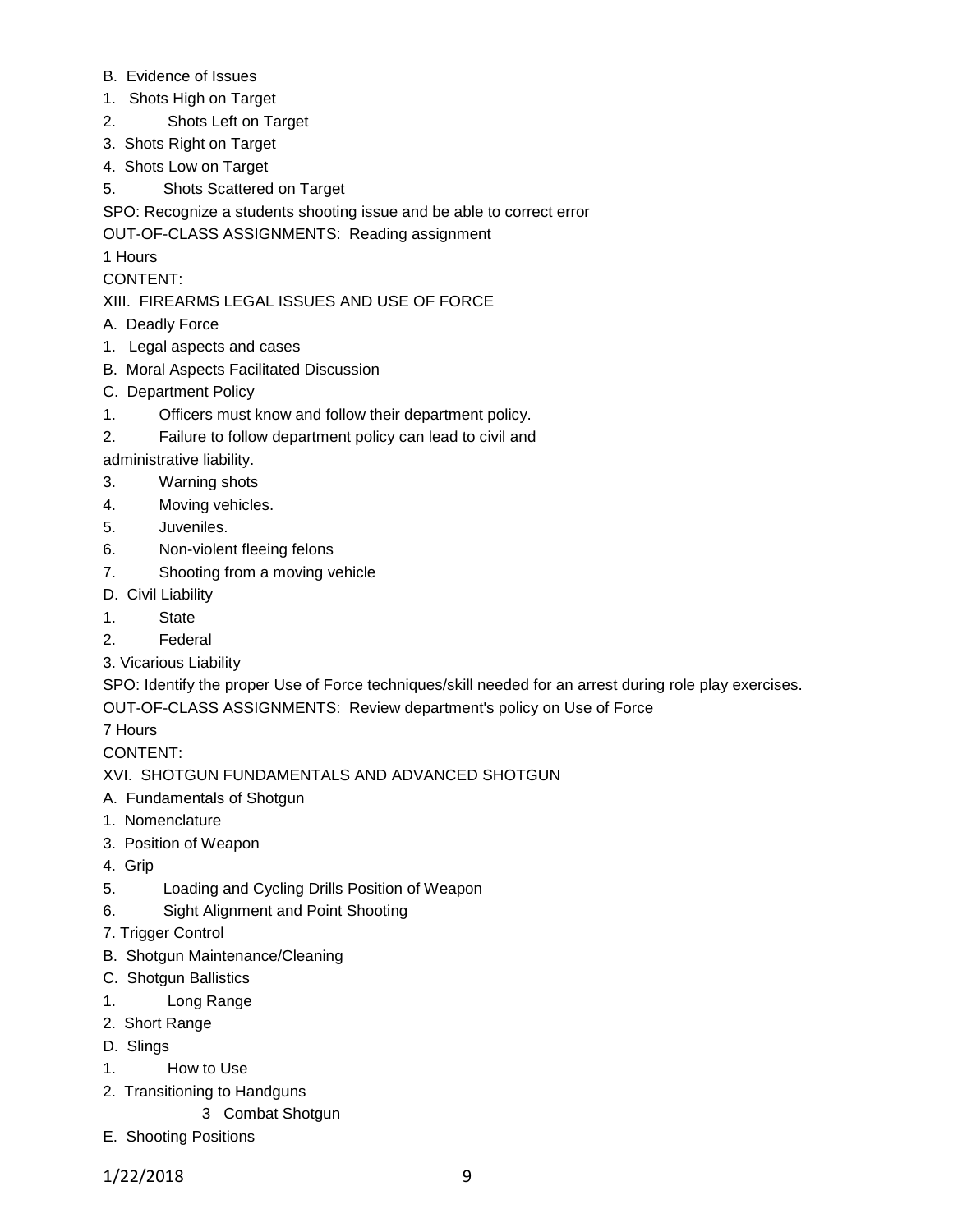- B. Evidence of Issues
- 1. Shots High on Target
- 2. Shots Left on Target
- 3. Shots Right on Target
- 4. Shots Low on Target
- 5. Shots Scattered on Target

SPO: Recognize a students shooting issue and be able to correct error

OUT-OF-CLASS ASSIGNMENTS: Reading assignment

1 Hours

CONTENT:

XIII. FIREARMS LEGAL ISSUES AND USE OF FORCE

- A. Deadly Force
- 1. Legal aspects and cases
- B. Moral Aspects Facilitated Discussion
- C. Department Policy
- 1. Officers must know and follow their department policy.
- 2. Failure to follow department policy can lead to civil and

administrative liability.

- 3. Warning shots
- 4. Moving vehicles.
- 5. Juveniles.
- 6. Non-violent fleeing felons
- 7. Shooting from a moving vehicle
- D. Civil Liability
- 1. State
- 2. Federal
- 3. Vicarious Liability

SPO: Identify the proper Use of Force techniques/skill needed for an arrest during role play exercises. OUT-OF-CLASS ASSIGNMENTS: Review department's policy on Use of Force

7 Hours

CONTENT:

XVI. SHOTGUN FUNDAMENTALS AND ADVANCED SHOTGUN

- A. Fundamentals of Shotgun
- 1. Nomenclature
- 3. Position of Weapon
- 4. Grip
- 5. Loading and Cycling Drills Position of Weapon
- 6. Sight Alignment and Point Shooting
- 7. Trigger Control
- B. Shotgun Maintenance/Cleaning
- C. Shotgun Ballistics
- 1. Long Range
- 2. Short Range
- D. Slings
- 1. How to Use
- 2. Transitioning to Handguns
	- 3 Combat Shotgun
- E. Shooting Positions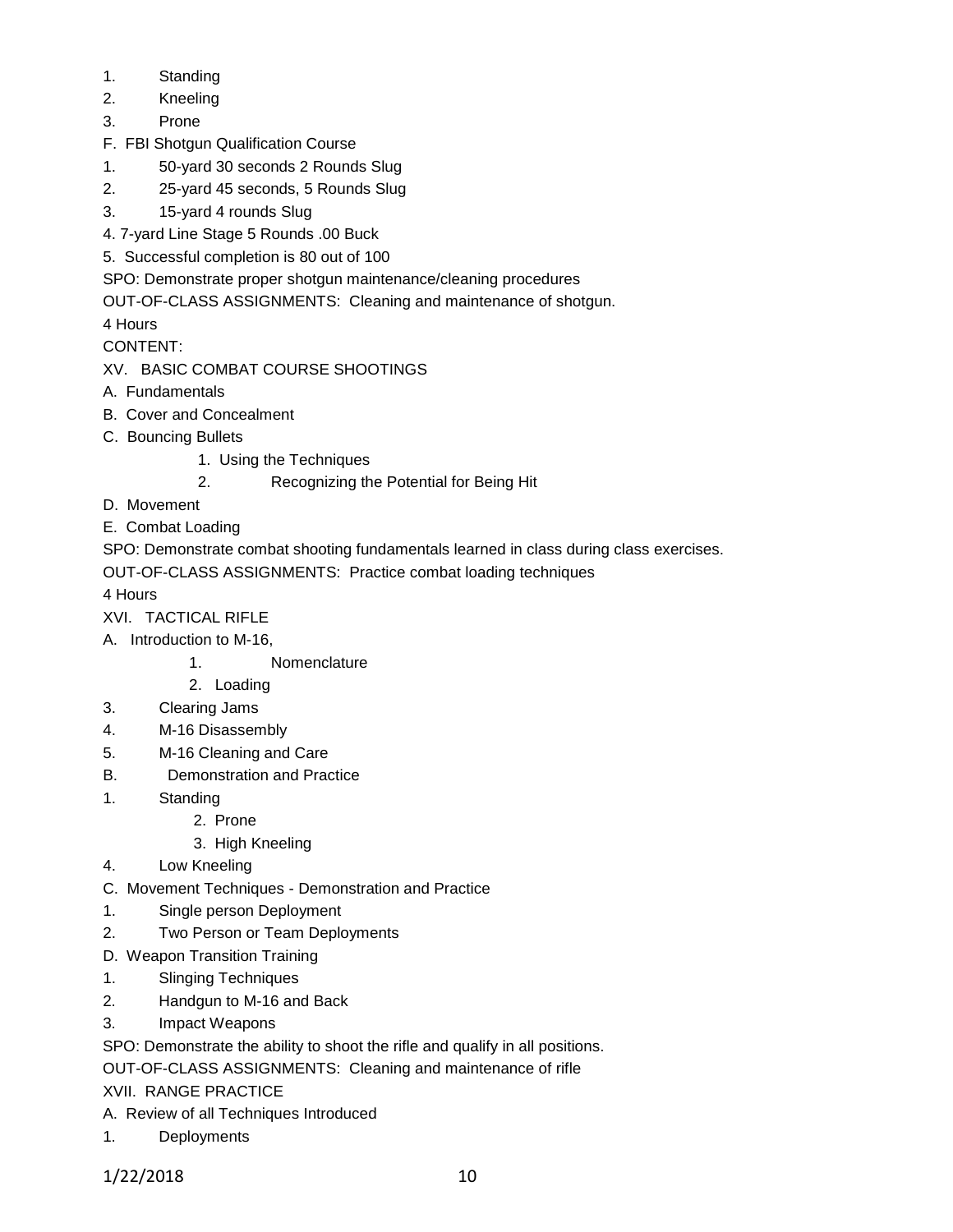- 1. Standing
- 2. Kneeling
- 3. Prone
- F. FBI Shotgun Qualification Course
- 1. 50-yard 30 seconds 2 Rounds Slug
- 2. 25-yard 45 seconds, 5 Rounds Slug
- 3. 15-yard 4 rounds Slug
- 4. 7-yard Line Stage 5 Rounds .00 Buck
- 5. Successful completion is 80 out of 100
- SPO: Demonstrate proper shotgun maintenance/cleaning procedures
- OUT-OF-CLASS ASSIGNMENTS: Cleaning and maintenance of shotgun.

4 Hours

CONTENT:

# XV. BASIC COMBAT COURSE SHOOTINGS

- A. Fundamentals
- B. Cover and Concealment
- C. Bouncing Bullets
	- 1. Using the Techniques
	- 2. Recognizing the Potential for Being Hit
- D. Movement
- E. Combat Loading

SPO: Demonstrate combat shooting fundamentals learned in class during class exercises.

OUT-OF-CLASS ASSIGNMENTS: Practice combat loading techniques

4 Hours

- XVI. TACTICAL RIFLE
- A. Introduction to M-16,
	- 1. Nomenclature
	- 2. Loading
- 3. Clearing Jams
- 4. M-16 Disassembly
- 5. M-16 Cleaning and Care
- B. Demonstration and Practice
- 1. Standing
	- 2. Prone
	- 3. High Kneeling
- 4. Low Kneeling
- C. Movement Techniques Demonstration and Practice
- 1. Single person Deployment
- 2. Two Person or Team Deployments
- D. Weapon Transition Training
- 1. Slinging Techniques
- 2. Handgun to M-16 and Back
- 3. Impact Weapons
- SPO: Demonstrate the ability to shoot the rifle and qualify in all positions.

OUT-OF-CLASS ASSIGNMENTS: Cleaning and maintenance of rifle

XVII. RANGE PRACTICE

- A. Review of all Techniques Introduced
- 1. Deployments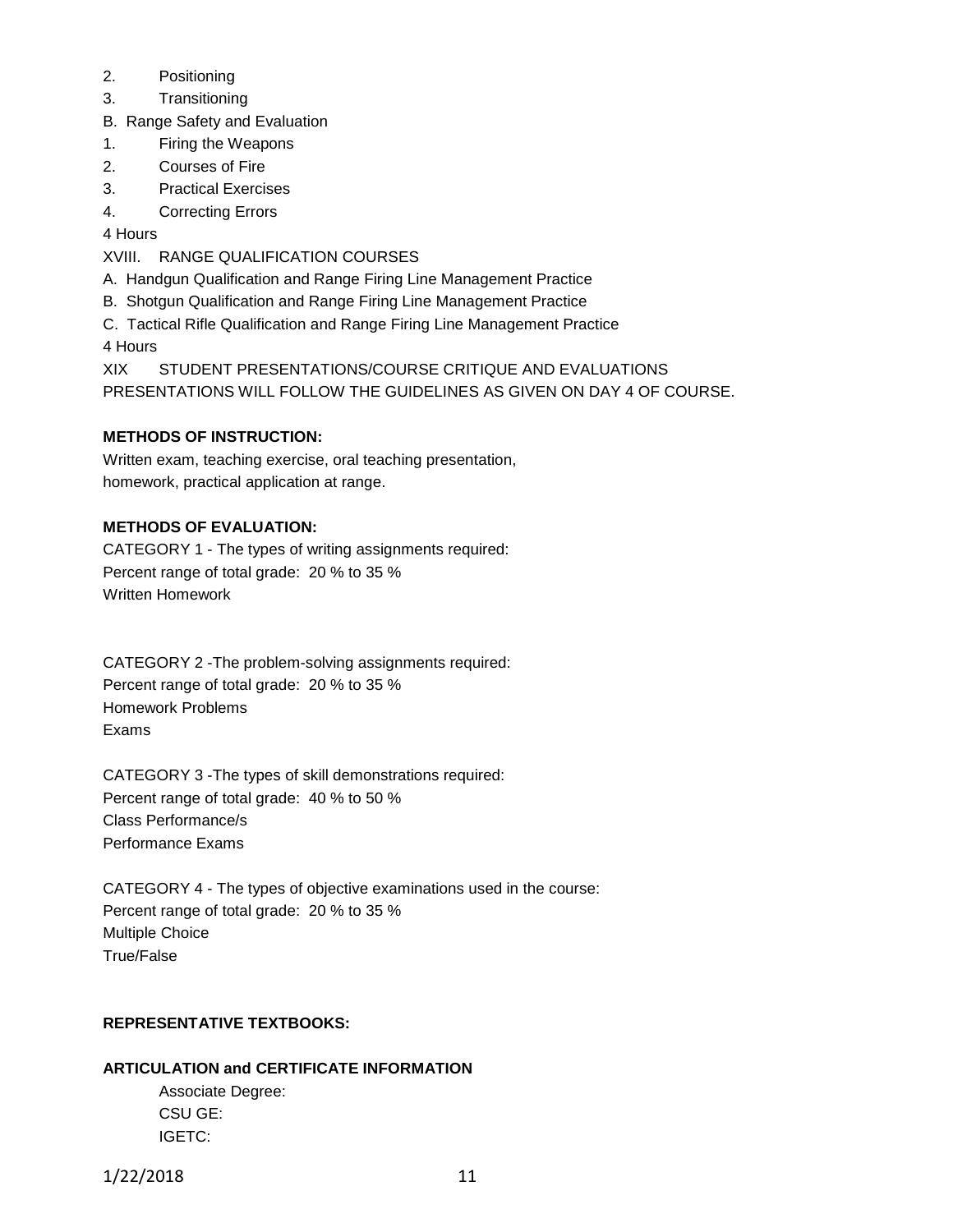- 2. Positioning
- 3. Transitioning
- B. Range Safety and Evaluation
- 1. Firing the Weapons
- 2. Courses of Fire
- 3. Practical Exercises
- 4. Correcting Errors

4 Hours

- XVIII. RANGE QUALIFICATION COURSES
- A. Handgun Qualification and Range Firing Line Management Practice
- B. Shotgun Qualification and Range Firing Line Management Practice
- C. Tactical Rifle Qualification and Range Firing Line Management Practice 4 Hours

XIX STUDENT PRESENTATIONS/COURSE CRITIQUE AND EVALUATIONS PRESENTATIONS WILL FOLLOW THE GUIDELINES AS GIVEN ON DAY 4 OF COURSE.

## **METHODS OF INSTRUCTION:**

Written exam, teaching exercise, oral teaching presentation, homework, practical application at range.

## **METHODS OF EVALUATION:**

CATEGORY 1 - The types of writing assignments required: Percent range of total grade: 20 % to 35 % Written Homework

CATEGORY 2 -The problem-solving assignments required: Percent range of total grade: 20 % to 35 % Homework Problems Exams

CATEGORY 3 -The types of skill demonstrations required: Percent range of total grade: 40 % to 50 % Class Performance/s Performance Exams

CATEGORY 4 - The types of objective examinations used in the course: Percent range of total grade: 20 % to 35 % Multiple Choice True/False

### **REPRESENTATIVE TEXTBOOKS:**

### **ARTICULATION and CERTIFICATE INFORMATION**

Associate Degree: CSU GE: IGETC: